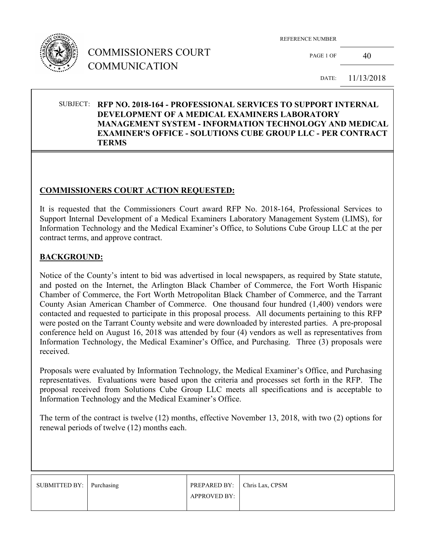

PAGE 1 OF  $40$ 

DATE: 11/13/2018

### SUBJECT: **RFP NO. 2018-164 - PROFESSIONAL SERVICES TO SUPPORT INTERNAL DEVELOPMENT OF A MEDICAL EXAMINERS LABORATORY MANAGEMENT SYSTEM - INFORMATION TECHNOLOGY AND MEDICAL EXAMINER'S OFFICE - SOLUTIONS CUBE GROUP LLC - PER CONTRACT TERMS**

#### **COMMISSIONERS COURT ACTION REQUESTED:**

It is requested that the Commissioners Court award RFP No. 2018-164, Professional Services to Support Internal Development of a Medical Examiners Laboratory Management System (LIMS), for Information Technology and the Medical Examiner's Office, to Solutions Cube Group LLC at the per contract terms, and approve contract.

#### **BACKGROUND:**

Notice of the County's intent to bid was advertised in local newspapers, as required by State statute, and posted on the Internet, the Arlington Black Chamber of Commerce, the Fort Worth Hispanic Chamber of Commerce, the Fort Worth Metropolitan Black Chamber of Commerce, and the Tarrant County Asian American Chamber of Commerce. One thousand four hundred (1,400) vendors were contacted and requested to participate in this proposal process. All documents pertaining to this RFP were posted on the Tarrant County website and were downloaded by interested parties. A pre-proposal conference held on August 16, 2018 was attended by four (4) vendors as well as representatives from Information Technology, the Medical Examiner's Office, and Purchasing. Three (3) proposals were received.

Proposals were evaluated by Information Technology, the Medical Examiner's Office, and Purchasing representatives. Evaluations were based upon the criteria and processes set forth in the RFP. The proposal received from Solutions Cube Group LLC meets all specifications and is acceptable to Information Technology and the Medical Examiner's Office.

The term of the contract is twelve (12) months, effective November 13, 2018, with two (2) options for renewal periods of twelve (12) months each.

| SUBMITTED BY: Purchasing | PREPARED BY: Chris Lax, CPSM |  |
|--------------------------|------------------------------|--|
|                          | <b>APPROVED BY:</b>          |  |